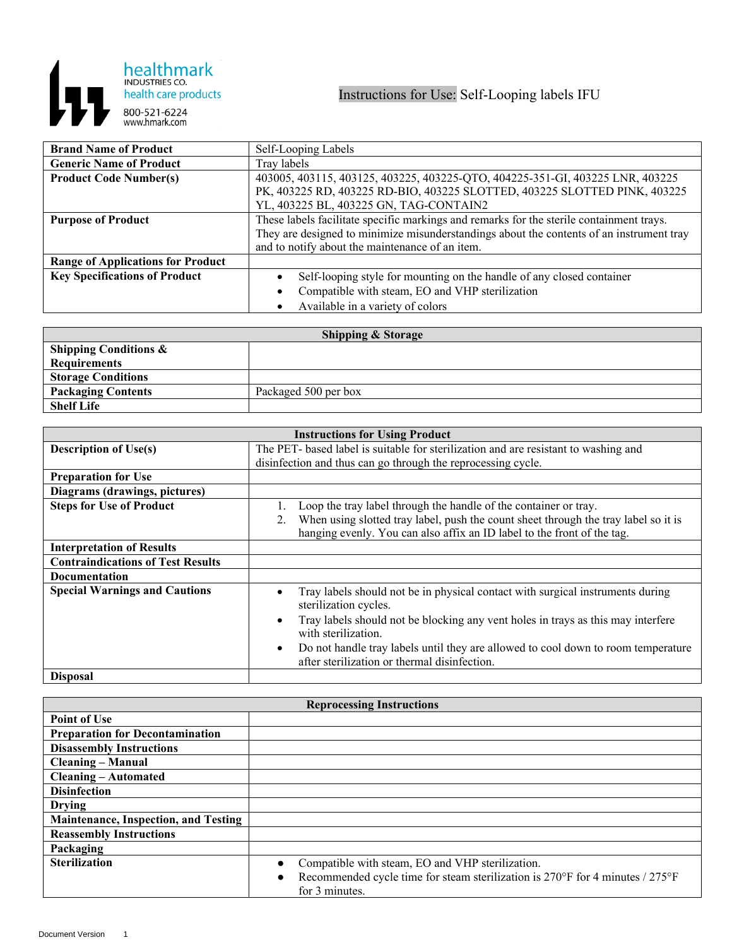

| <b>Brand Name of Product</b>             | Self-Looping Labels                                                                      |
|------------------------------------------|------------------------------------------------------------------------------------------|
| <b>Generic Name of Product</b>           | Tray labels                                                                              |
| <b>Product Code Number(s)</b>            | 403005, 403115, 403125, 403225, 403225-QTO, 404225-351-GI, 403225 LNR, 403225            |
|                                          | PK, 403225 RD, 403225 RD-BIO, 403225 SLOTTED, 403225 SLOTTED PINK, 403225                |
|                                          | YL, 403225 BL, 403225 GN, TAG-CONTAIN2                                                   |
| <b>Purpose of Product</b>                | These labels facilitate specific markings and remarks for the sterile containment trays. |
|                                          | They are designed to minimize misunderstandings about the contents of an instrument tray |
|                                          | and to notify about the maintenance of an item.                                          |
| <b>Range of Applications for Product</b> |                                                                                          |
| <b>Key Specifications of Product</b>     | Self-looping style for mounting on the handle of any closed container                    |
|                                          | Compatible with steam, EO and VHP sterilization                                          |
|                                          | Available in a variety of colors                                                         |

| <b>Shipping &amp; Storage</b>    |                      |  |
|----------------------------------|----------------------|--|
| <b>Shipping Conditions &amp;</b> |                      |  |
| <b>Requirements</b>              |                      |  |
| <b>Storage Conditions</b>        |                      |  |
| <b>Packaging Contents</b>        | Packaged 500 per box |  |
| <b>Shelf Life</b>                |                      |  |

| <b>Instructions for Using Product</b>    |                                                                                                                                                |  |
|------------------------------------------|------------------------------------------------------------------------------------------------------------------------------------------------|--|
| <b>Description of Use(s)</b>             | The PET- based label is suitable for sterilization and are resistant to washing and                                                            |  |
|                                          | disinfection and thus can go through the reprocessing cycle.                                                                                   |  |
| <b>Preparation for Use</b>               |                                                                                                                                                |  |
| Diagrams (drawings, pictures)            |                                                                                                                                                |  |
| <b>Steps for Use of Product</b>          | Loop the tray label through the handle of the container or tray.                                                                               |  |
|                                          | When using slotted tray label, push the count sheet through the tray label so it is<br>2.                                                      |  |
|                                          | hanging evenly. You can also affix an ID label to the front of the tag.                                                                        |  |
| <b>Interpretation of Results</b>         |                                                                                                                                                |  |
| <b>Contraindications of Test Results</b> |                                                                                                                                                |  |
| <b>Documentation</b>                     |                                                                                                                                                |  |
| <b>Special Warnings and Cautions</b>     | Tray labels should not be in physical contact with surgical instruments during<br>sterilization cycles.                                        |  |
|                                          | Tray labels should not be blocking any vent holes in trays as this may interfere<br>with sterilization.                                        |  |
|                                          | Do not handle tray labels until they are allowed to cool down to room temperature<br>$\bullet$<br>after sterilization or thermal disinfection. |  |
| <b>Disposal</b>                          |                                                                                                                                                |  |

| <b>Reprocessing Instructions</b>            |                                                                                                 |  |
|---------------------------------------------|-------------------------------------------------------------------------------------------------|--|
| <b>Point of Use</b>                         |                                                                                                 |  |
| <b>Preparation for Decontamination</b>      |                                                                                                 |  |
| <b>Disassembly Instructions</b>             |                                                                                                 |  |
| <b>Cleaning - Manual</b>                    |                                                                                                 |  |
| <b>Cleaning – Automated</b>                 |                                                                                                 |  |
| <b>Disinfection</b>                         |                                                                                                 |  |
| <b>Drying</b>                               |                                                                                                 |  |
| <b>Maintenance, Inspection, and Testing</b> |                                                                                                 |  |
| <b>Reassembly Instructions</b>              |                                                                                                 |  |
| Packaging                                   |                                                                                                 |  |
| <b>Sterilization</b>                        | Compatible with steam, EO and VHP sterilization.                                                |  |
|                                             | Recommended cycle time for steam sterilization is 270°F for 4 minutes / 275°F<br>for 3 minutes. |  |